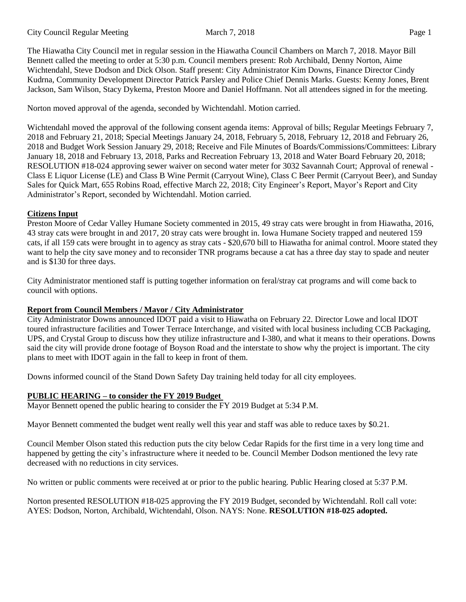The Hiawatha City Council met in regular session in the Hiawatha Council Chambers on March 7, 2018. Mayor Bill Bennett called the meeting to order at 5:30 p.m. Council members present: Rob Archibald, Denny Norton, Aime Wichtendahl, Steve Dodson and Dick Olson. Staff present: City Administrator Kim Downs, Finance Director Cindy Kudrna, Community Development Director Patrick Parsley and Police Chief Dennis Marks. Guests: Kenny Jones, Brent Jackson, Sam Wilson, Stacy Dykema, Preston Moore and Daniel Hoffmann. Not all attendees signed in for the meeting.

Norton moved approval of the agenda, seconded by Wichtendahl. Motion carried.

Wichtendahl moved the approval of the following consent agenda items: Approval of bills; Regular Meetings February 7, 2018 and February 21, 2018; Special Meetings January 24, 2018, February 5, 2018, February 12, 2018 and February 26, 2018 and Budget Work Session January 29, 2018; Receive and File Minutes of Boards/Commissions/Committees: Library January 18, 2018 and February 13, 2018, Parks and Recreation February 13, 2018 and Water Board February 20, 2018; RESOLUTION #18-024 approving sewer waiver on second water meter for 3032 Savannah Court; Approval of renewal - Class E Liquor License (LE) and Class B Wine Permit (Carryout Wine), Class C Beer Permit (Carryout Beer), and Sunday Sales for Quick Mart, 655 Robins Road, effective March 22, 2018; City Engineer's Report, Mayor's Report and City Administrator's Report, seconded by Wichtendahl. Motion carried.

#### **Citizens Input**

Preston Moore of Cedar Valley Humane Society commented in 2015, 49 stray cats were brought in from Hiawatha, 2016, 43 stray cats were brought in and 2017, 20 stray cats were brought in. Iowa Humane Society trapped and neutered 159 cats, if all 159 cats were brought in to agency as stray cats - \$20,670 bill to Hiawatha for animal control. Moore stated they want to help the city save money and to reconsider TNR programs because a cat has a three day stay to spade and neuter and is \$130 for three days.

City Administrator mentioned staff is putting together information on feral/stray cat programs and will come back to council with options.

#### **Report from Council Members / Mayor / City Administrator**

City Administrator Downs announced IDOT paid a visit to Hiawatha on February 22. Director Lowe and local IDOT toured infrastructure facilities and Tower Terrace Interchange, and visited with local business including CCB Packaging, UPS, and Crystal Group to discuss how they utilize infrastructure and I-380, and what it means to their operations. Downs said the city will provide drone footage of Boyson Road and the interstate to show why the project is important. The city plans to meet with IDOT again in the fall to keep in front of them.

Downs informed council of the Stand Down Safety Day training held today for all city employees.

# **PUBLIC HEARING – to consider the FY 2019 Budget**

Mayor Bennett opened the public hearing to consider the FY 2019 Budget at 5:34 P.M.

Mayor Bennett commented the budget went really well this year and staff was able to reduce taxes by \$0.21.

Council Member Olson stated this reduction puts the city below Cedar Rapids for the first time in a very long time and happened by getting the city's infrastructure where it needed to be. Council Member Dodson mentioned the levy rate decreased with no reductions in city services.

No written or public comments were received at or prior to the public hearing. Public Hearing closed at 5:37 P.M.

Norton presented RESOLUTION #18-025 approving the FY 2019 Budget, seconded by Wichtendahl. Roll call vote: AYES: Dodson, Norton, Archibald, Wichtendahl, Olson. NAYS: None. **RESOLUTION #18-025 adopted.**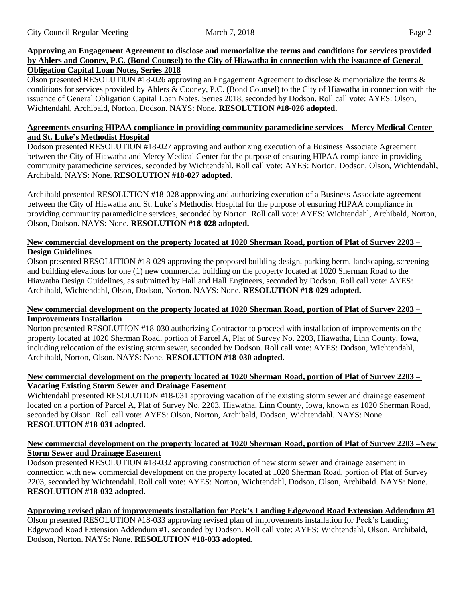### **Approving an Engagement Agreement to disclose and memorialize the terms and conditions for services provided** by Ahlers and Cooney, P.C. (Bond Counsel) to the City of Hiawatha in connection with the issuance of General **Obligation Capital Loan Notes, Series 2018**

Olson presented RESOLUTION #18-026 approving an Engagement Agreement to disclose & memorialize the terms & conditions for services provided by Ahlers & Cooney, P.C. (Bond Counsel) to the City of Hiawatha in connection with the issuance of General Obligation Capital Loan Notes, Series 2018, seconded by Dodson. Roll call vote: AYES: Olson, Wichtendahl, Archibald, Norton, Dodson. NAYS: None. **RESOLUTION #18-026 adopted.**

# **Agreements ensuring HIPAA compliance in providing community paramedicine services – Mercy Medical Center and St. Luke's Methodist Hospital**

Dodson presented RESOLUTION #18-027 approving and authorizing execution of a Business Associate Agreement between the City of Hiawatha and Mercy Medical Center for the purpose of ensuring HIPAA compliance in providing community paramedicine services, seconded by Wichtendahl. Roll call vote: AYES: Norton, Dodson, Olson, Wichtendahl, Archibald. NAYS: None. **RESOLUTION #18-027 adopted.**

Archibald presented RESOLUTION #18-028 approving and authorizing execution of a Business Associate agreement between the City of Hiawatha and St. Luke's Methodist Hospital for the purpose of ensuring HIPAA compliance in providing community paramedicine services, seconded by Norton. Roll call vote: AYES: Wichtendahl, Archibald, Norton, Olson, Dodson. NAYS: None. **RESOLUTION #18-028 adopted.**

## New commercial development on the property located at 1020 Sherman Road, portion of Plat of Survey 2203 – **Design Guidelines**

Olson presented RESOLUTION #18-029 approving the proposed building design, parking berm, landscaping, screening and building elevations for one (1) new commercial building on the property located at 1020 Sherman Road to the Hiawatha Design Guidelines, as submitted by Hall and Hall Engineers, seconded by Dodson. Roll call vote: AYES: Archibald, Wichtendahl, Olson, Dodson, Norton. NAYS: None. **RESOLUTION #18-029 adopted.**

### New commercial development on the property located at 1020 Sherman Road, portion of Plat of Survey 2203 -**Improvements Installation**

Norton presented RESOLUTION #18-030 authorizing Contractor to proceed with installation of improvements on the property located at 1020 Sherman Road, portion of Parcel A, Plat of Survey No. 2203, Hiawatha, Linn County, Iowa, including relocation of the existing storm sewer, seconded by Dodson. Roll call vote: AYES: Dodson, Wichtendahl, Archibald, Norton, Olson. NAYS: None. **RESOLUTION #18-030 adopted.**

# New commercial development on the property located at 1020 Sherman Road, portion of Plat of Survey 2203 – **Vacating Existing Storm Sewer and Drainage Easement**

Wichtendahl presented RESOLUTION #18-031 approving vacation of the existing storm sewer and drainage easement located on a portion of Parcel A, Plat of Survey No. 2203, Hiawatha, Linn County, Iowa, known as 1020 Sherman Road, seconded by Olson. Roll call vote: AYES: Olson, Norton, Archibald, Dodson, Wichtendahl. NAYS: None. **RESOLUTION #18-031 adopted.**

# New commercial development on the property located at 1020 Sherman Road, portion of Plat of Survey 2203 –New **Storm Sewer and Drainage Easement**

Dodson presented RESOLUTION #18-032 approving construction of new storm sewer and drainage easement in connection with new commercial development on the property located at 1020 Sherman Road, portion of Plat of Survey 2203, seconded by Wichtendahl. Roll call vote: AYES: Norton, Wichtendahl, Dodson, Olson, Archibald. NAYS: None. **RESOLUTION #18-032 adopted.**

# **Approving revised plan of improvements installation for Peck's Landing Edgewood Road Extension Addendum #1**

Olson presented RESOLUTION #18-033 approving revised plan of improvements installation for Peck's Landing Edgewood Road Extension Addendum #1, seconded by Dodson. Roll call vote: AYES: Wichtendahl, Olson, Archibald, Dodson, Norton. NAYS: None. **RESOLUTION #18-033 adopted.**